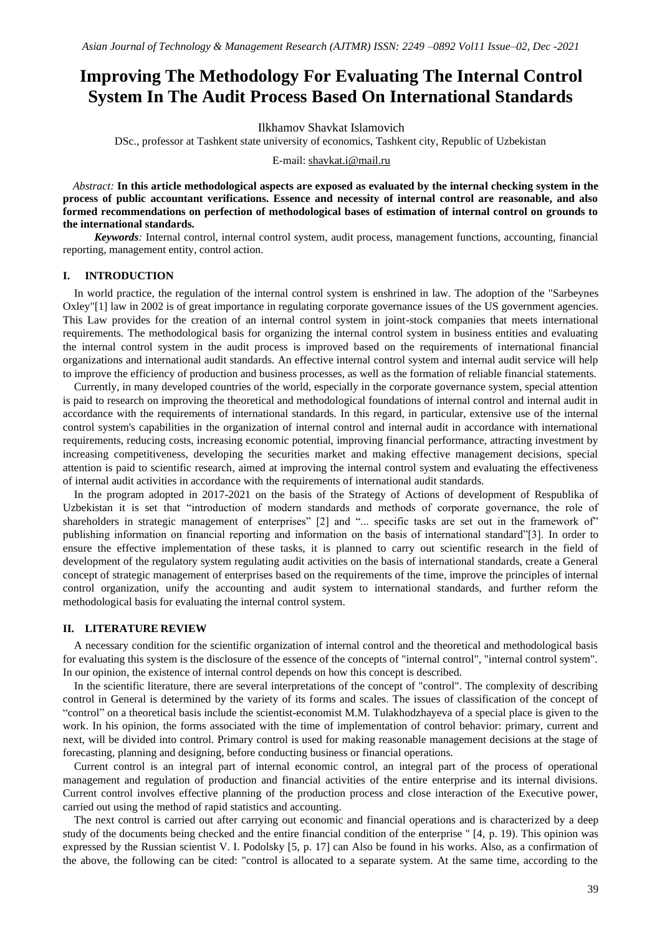# **Improving The Methodology For Evaluating The Internal Control System In The Audit Process Based On International Standards**

Ilkhamov Shavkat Islamovich

DSc., professor at Tashkent state university of economics, Tashkent city, Republic of Uzbekistan

E-mail: [shavkat.i@mail.ru](mailto:shavkat.i@mail.ru)

*Abstract:* **In this article methodological aspects are exposed as evaluated by the internal checking system in the process of public accountant verifications. Essence and necessity of internal control are reasonable, and also formed recommendations on perfection of methodological bases of estimation of internal control on grounds to the international standards.**

*Keywords:* Internal control, internal control system, audit process, management functions, accounting, financial reporting, management entity, control action.

#### **I. INTRODUCTION**

In world practice, the regulation of the internal control system is enshrined in law. The adoption of the "Sarbeynes Oxley"[1] law in 2002 is of great importance in regulating corporate governance issues of the US government agencies. This Law provides for the creation of an internal control system in joint-stock companies that meets international requirements. The methodological basis for organizing the internal control system in business entities and evaluating the internal control system in the audit process is improved based on the requirements of international financial organizations and international audit standards. An effective internal control system and internal audit service will help to improve the efficiency of production and business processes, as well as the formation of reliable financial statements.

Currently, in many developed countries of the world, especially in the corporate governance system, special attention is paid to research on improving the theoretical and methodological foundations of internal control and internal audit in accordance with the requirements of international standards. In this regard, in particular, extensive use of the internal control system's capabilities in the organization of internal control and internal audit in accordance with international requirements, reducing costs, increasing economic potential, improving financial performance, attracting investment by increasing competitiveness, developing the securities market and making effective management decisions, special attention is paid to scientific research, aimed at improving the internal control system and evaluating the effectiveness of internal audit activities in accordance with the requirements of international audit standards.

In the program adopted in 2017-2021 on the basis of the Strategy of Actions of development of Respublika of Uzbekistan it is set that "introduction of modern standards and methods of corporate governance, the role of shareholders in strategic management of enterprises" [2] and "... specific tasks are set out in the framework of" publishing information on financial reporting and information on the basis of international standard"[3]. In order to ensure the effective implementation of these tasks, it is planned to carry out scientific research in the field of development of the regulatory system regulating audit activities on the basis of international standards, create a General concept of strategic management of enterprises based on the requirements of the time, improve the principles of internal control organization, unify the accounting and audit system to international standards, and further reform the methodological basis for evaluating the internal control system.

# **II. LITERATURE REVIEW**

A necessary condition for the scientific organization of internal control and the theoretical and methodological basis for evaluating this system is the disclosure of the essence of the concepts of "internal control", "internal control system". In our opinion, the existence of internal control depends on how this concept is described.

In the scientific literature, there are several interpretations of the concept of "control". The complexity of describing control in General is determined by the variety of its forms and scales. The issues of classification of the concept of "control" on a theoretical basis include the scientist-economist M.M. Tulakhodzhayeva of a special place is given to the work. In his opinion, the forms associated with the time of implementation of control behavior: primary, current and next, will be divided into control. Primary control is used for making reasonable management decisions at the stage of forecasting, planning and designing, before conducting business or financial operations.

Current control is an integral part of internal economic control, an integral part of the process of operational management and regulation of production and financial activities of the entire enterprise and its internal divisions. Current control involves effective planning of the production process and close interaction of the Executive power, carried out using the method of rapid statistics and accounting.

The next control is carried out after carrying out economic and financial operations and is characterized by a deep study of the documents being checked and the entire financial condition of the enterprise " [4, p. 19). This opinion was expressed by the Russian scientist V. I. Podolsky [5, p. 17] can Also be found in his works. Also, as a confirmation of the above, the following can be cited: "control is allocated to a separate system. At the same time, according to the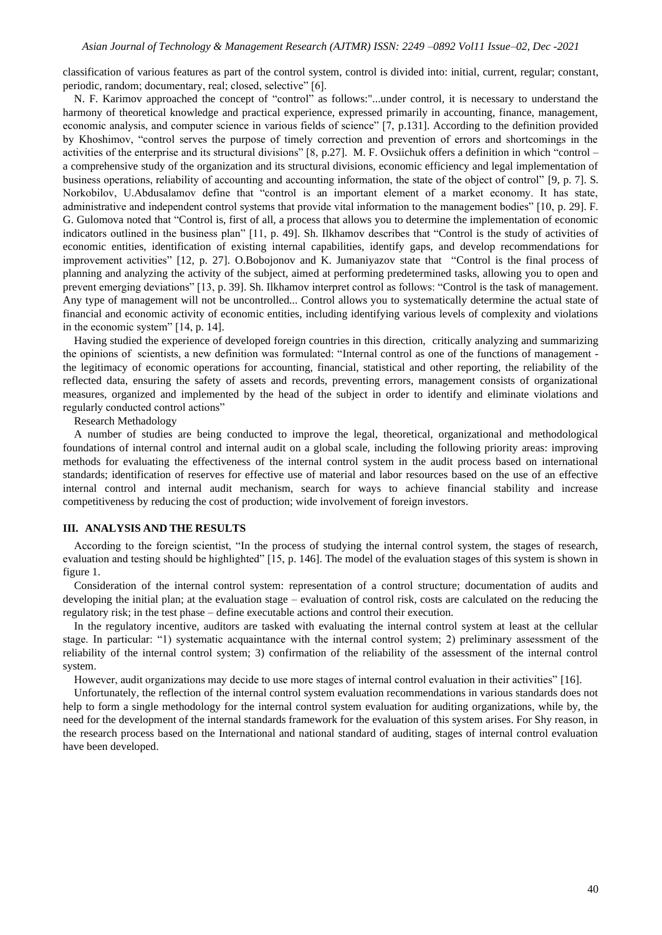classification of various features as part of the control system, control is divided into: initial, current, regular; constant, periodic, random; documentary, real; closed, selective" [6].

N. F. Karimov approached the concept of "control" as follows:"...under control, it is necessary to understand the harmony of theoretical knowledge and practical experience, expressed primarily in accounting, finance, management, economic analysis, and computer science in various fields of science" [7, p.131]. According to the definition provided by Khoshimov, "control serves the purpose of timely correction and prevention of errors and shortcomings in the activities of the enterprise and its structural divisions" [8, p.27]. M. F. Ovsiichuk offers a definition in which "control – a comprehensive study of the organization and its structural divisions, economic efficiency and legal implementation of business operations, reliability of accounting and accounting information, the state of the object of control" [9, p. 7]. S. Norkobilov, U.Abdusalamov define that "control is an important element of a market economy. It has state, administrative and independent control systems that provide vital information to the management bodies" [10, p. 29]. F. G. Gulomova noted that "Control is, first of all, a process that allows you to determine the implementation of economic indicators outlined in the business plan" [11, p. 49]. Sh. Ilkhamov describes that "Control is the study of activities of economic entities, identification of existing internal capabilities, identify gaps, and develop recommendations for improvement activities" [12, p. 27]. O.Bobojonov and K. Jumaniyazov state that "Control is the final process of planning and analyzing the activity of the subject, aimed at performing predetermined tasks, allowing you to open and prevent emerging deviations" [13, p. 39]. Sh. Ilkhamov interpret control as follows: "Control is the task of management. Any type of management will not be uncontrolled... Control allows you to systematically determine the actual state of financial and economic activity of economic entities, including identifying various levels of complexity and violations in the economic system" [14, p. 14].

Having studied the experience of developed foreign countries in this direction, critically analyzing and summarizing the opinions of scientists, a new definition was formulated: "Internal control as one of the functions of management the legitimacy of economic operations for accounting, financial, statistical and other reporting, the reliability of the reflected data, ensuring the safety of assets and records, preventing errors, management consists of organizational measures, organized and implemented by the head of the subject in order to identify and eliminate violations and regularly conducted control actions"

Research Methadology

A number of studies are being conducted to improve the legal, theoretical, organizational and methodological foundations of internal control and internal audit on a global scale, including the following priority areas: improving methods for evaluating the effectiveness of the internal control system in the audit process based on international standards; identification of reserves for effective use of material and labor resources based on the use of an effective internal control and internal audit mechanism, search for ways to achieve financial stability and increase competitiveness by reducing the cost of production; wide involvement of foreign investors.

### **III. ANALYSIS AND THE RESULTS**

According to the foreign scientist, "In the process of studying the internal control system, the stages of research, evaluation and testing should be highlighted" [15, p. 146]. The model of the evaluation stages of this system is shown in figure 1.

Consideration of the internal control system: representation of a control structure; documentation of audits and developing the initial plan; at the evaluation stage – evaluation of control risk, costs are calculated on the reducing the regulatory risk; in the test phase – define executable actions and control their execution.

In the regulatory incentive, auditors are tasked with evaluating the internal control system at least at the cellular stage. In particular: "1) systematic acquaintance with the internal control system; 2) preliminary assessment of the reliability of the internal control system; 3) confirmation of the reliability of the assessment of the internal control system.

However, audit organizations may decide to use more stages of internal control evaluation in their activities" [16].

Unfortunately, the reflection of the internal control system evaluation recommendations in various standards does not help to form a single methodology for the internal control system evaluation for auditing organizations, while by, the need for the development of the internal standards framework for the evaluation of this system arises. For Shy reason, in the research process based on the International and national standard of auditing, stages of internal control evaluation have been developed.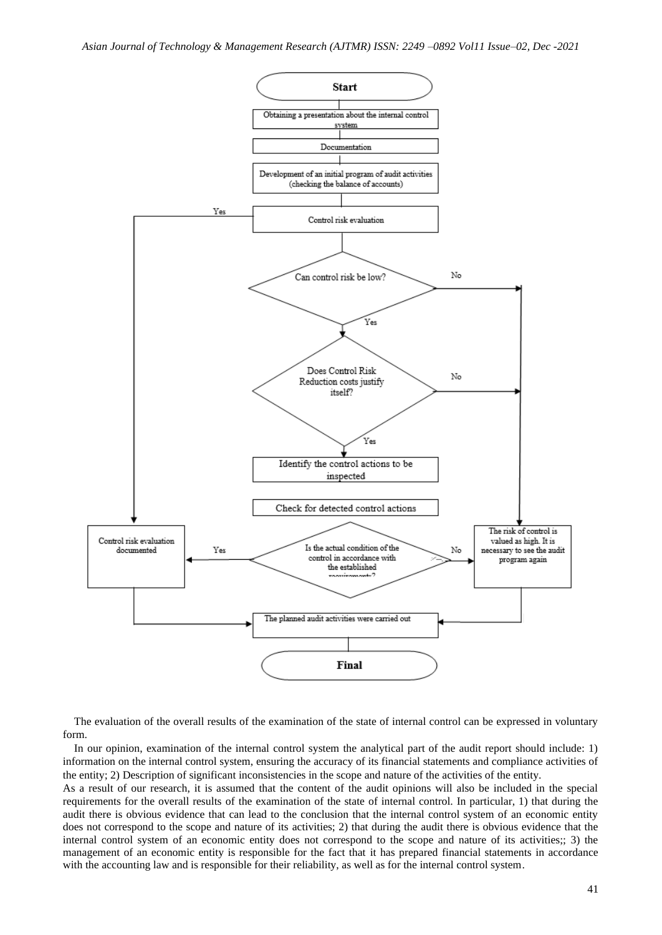*Asian Journal of Technology & Management Research (AJTMR) ISSN: 2249 –0892 Vol11 Issue–02, Dec -2021*



The evaluation of the overall results of the examination of the state of internal control can be expressed in voluntary form.

In our opinion, examination of the internal control system the analytical part of the audit report should include: 1) information on the internal control system, ensuring the accuracy of its financial statements and compliance activities of the entity; 2) Description of significant inconsistencies in the scope and nature of the activities of the entity.

As a result of our research, it is assumed that the content of the audit opinions will also be included in the special requirements for the overall results of the examination of the state of internal control. In particular, 1) that during the audit there is obvious evidence that can lead to the conclusion that the internal control system of an economic entity does not correspond to the scope and nature of its activities; 2) that during the audit there is obvious evidence that the internal control system of an economic entity does not correspond to the scope and nature of its activities;; 3) the management of an economic entity is responsible for the fact that it has prepared financial statements in accordance with the accounting law and is responsible for their reliability, as well as for the internal control system.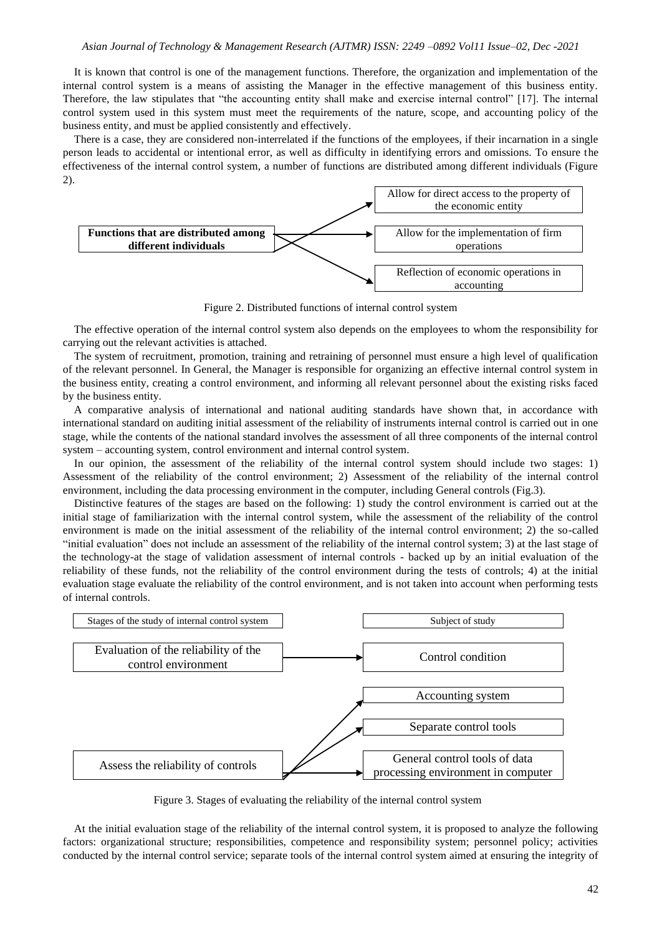It is known that control is one of the management functions. Therefore, the organization and implementation of the internal control system is a means of assisting the Manager in the effective management of this business entity. Therefore, the law stipulates that "the accounting entity shall make and exercise internal control" [17]. The internal control system used in this system must meet the requirements of the nature, scope, and accounting policy of the business entity, and must be applied consistently and effectively.

There is a case, they are considered non-interrelated if the functions of the employees, if their incarnation in a single person leads to accidental or intentional error, as well as difficulty in identifying errors and omissions. To ensure the effectiveness of the internal control system, a number of functions are distributed among different individuals (Figure 2).



Figure 2. Distributed functions of internal control system

The effective operation of the internal control system also depends on the employees to whom the responsibility for carrying out the relevant activities is attached.

The system of recruitment, promotion, training and retraining of personnel must ensure a high level of qualification of the relevant personnel. In General, the Manager is responsible for organizing an effective internal control system in the business entity, creating a control environment, and informing all relevant personnel about the existing risks faced by the business entity.

A comparative analysis of international and national auditing standards have shown that, in accordance with international standard on auditing initial assessment of the reliability of instruments internal control is carried out in one stage, while the contents of the national standard involves the assessment of all three components of the internal control system – accounting system, control environment and internal control system.

In our opinion, the assessment of the reliability of the internal control system should include two stages: 1) Assessment of the reliability of the control environment; 2) Assessment of the reliability of the internal control environment, including the data processing environment in the computer, including General controls (Fig.3).

Distinctive features of the stages are based on the following: 1) study the control environment is carried out at the initial stage of familiarization with the internal control system, while the assessment of the reliability of the control environment is made on the initial assessment of the reliability of the internal control environment; 2) the so-called "initial evaluation" does not include an assessment of the reliability of the internal control system; 3) at the last stage of the technology-at the stage of validation assessment of internal controls - backed up by an initial evaluation of the reliability of these funds, not the reliability of the control environment during the tests of controls; 4) at the initial evaluation stage evaluate the reliability of the control environment, and is not taken into account when performing tests of internal controls.



Figure 3. Stages of evaluating the reliability of the internal control system

At the initial evaluation stage of the reliability of the internal control system, it is proposed to analyze the following factors: organizational structure; responsibilities, competence and responsibility system; personnel policy; activities conducted by the internal control service; separate tools of the internal control system aimed at ensuring the integrity of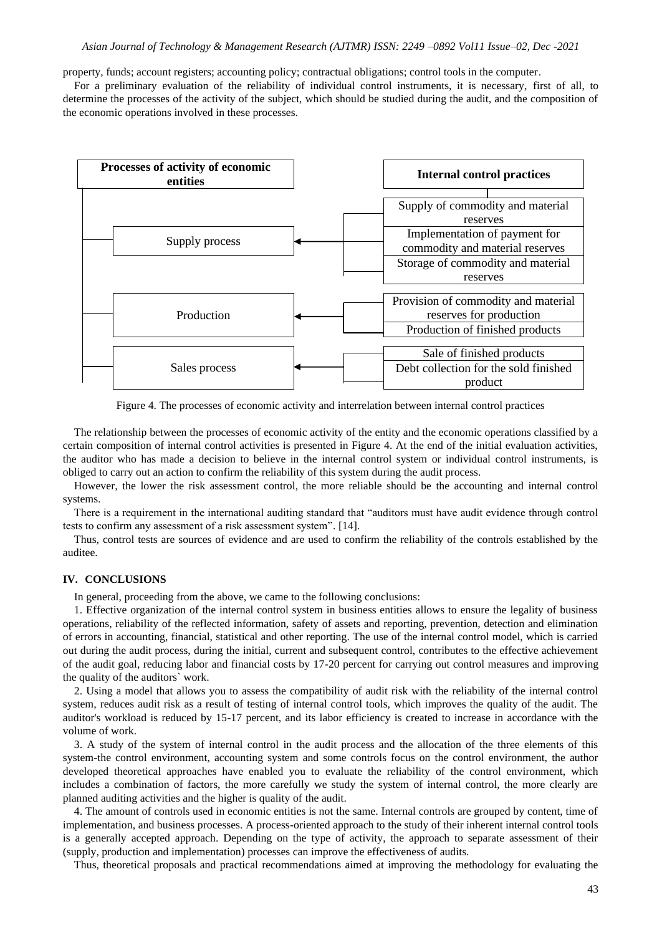#### *Asian Journal of Technology & Management Research (AJTMR) ISSN: 2249 –0892 Vol11 Issue–02, Dec -2021*

property, funds; account registers; accounting policy; contractual obligations; control tools in the computer.

For a preliminary evaluation of the reliability of individual control instruments, it is necessary, first of all, to determine the processes of the activity of the subject, which should be studied during the audit, and the composition of the economic operations involved in these processes.



Figure 4. The processes of economic activity and interrelation between internal control practices

The relationship between the processes of economic activity of the entity and the economic operations classified by a certain composition of internal control activities is presented in Figure 4. At the end of the initial evaluation activities, the auditor who has made a decision to believe in the internal control system or individual control instruments, is obliged to carry out an action to confirm the reliability of this system during the audit process.

However, the lower the risk assessment control, the more reliable should be the accounting and internal control systems.

There is a requirement in the international auditing standard that "auditors must have audit evidence through control tests to confirm any assessment of a risk assessment system". [14].

Thus, control tests are sources of evidence and are used to confirm the reliability of the controls established by the auditee.

#### **IV. CONCLUSIONS**

In general, proceeding from the above, we came to the following conclusions:

1. Effective organization of the internal control system in business entities allows to ensure the legality of business operations, reliability of the reflected information, safety of assets and reporting, prevention, detection and elimination of errors in accounting, financial, statistical and other reporting. The use of the internal control model, which is carried out during the audit process, during the initial, current and subsequent control, contributes to the effective achievement of the audit goal, reducing labor and financial costs by 17-20 percent for carrying out control measures and improving the quality of the auditors` work.

2. Using a model that allows you to assess the compatibility of audit risk with the reliability of the internal control system, reduces audit risk as a result of testing of internal control tools, which improves the quality of the audit. The auditor's workload is reduced by 15-17 percent, and its labor efficiency is created to increase in accordance with the volume of work.

3. A study of the system of internal control in the audit process and the allocation of the three elements of this system-the control environment, accounting system and some controls focus on the control environment, the author developed theoretical approaches have enabled you to evaluate the reliability of the control environment, which includes a combination of factors, the more carefully we study the system of internal control, the more clearly are planned auditing activities and the higher is quality of the audit.

4. The amount of controls used in economic entities is not the same. Internal controls are grouped by content, time of implementation, and business processes. A process-oriented approach to the study of their inherent internal control tools is a generally accepted approach. Depending on the type of activity, the approach to separate assessment of their (supply, production and implementation) processes can improve the effectiveness of audits.

Thus, theoretical proposals and practical recommendations aimed at improving the methodology for evaluating the